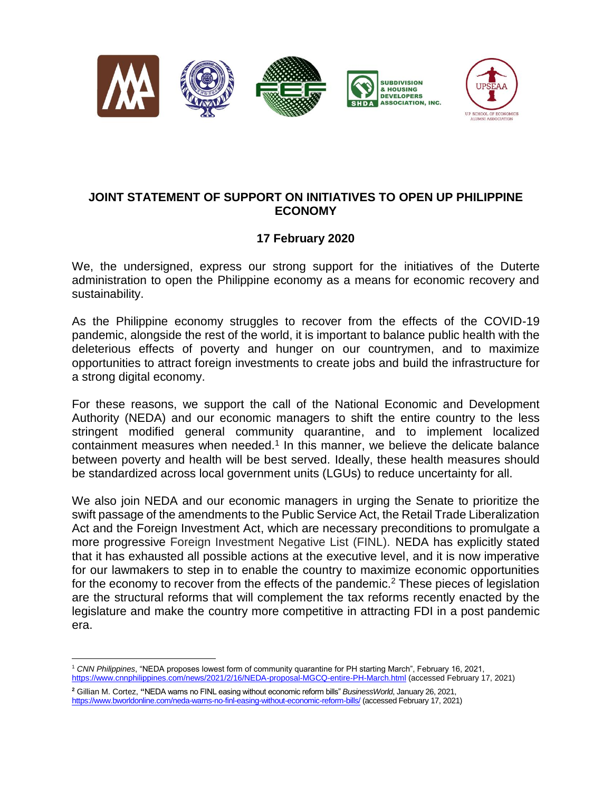



## **JOINT STATEMENT OF SUPPORT ON INITIATIVES TO OPEN UP PHILIPPINE ECONOMY**

## **17 February 2020**

We, the undersigned, express our strong support for the initiatives of the Duterte administration to open the Philippine economy as a means for economic recovery and sustainability.

As the Philippine economy struggles to recover from the effects of the COVID-19 pandemic, alongside the rest of the world, it is important to balance public health with the deleterious effects of poverty and hunger on our countrymen, and to maximize opportunities to attract foreign investments to create jobs and build the infrastructure for a strong digital economy.

For these reasons, we support the call of the National Economic and Development Authority (NEDA) and our economic managers to shift the entire country to the less stringent modified general community quarantine, and to implement localized containment measures when needed. $1$  In this manner, we believe the delicate balance between poverty and health will be best served. Ideally, these health measures should be standardized across local government units (LGUs) to reduce uncertainty for all.

We also join NEDA and our economic managers in urging the Senate to prioritize the swift passage of the amendments to the Public Service Act, the Retail Trade Liberalization Act and the Foreign Investment Act, which are necessary preconditions to promulgate a more progressive Foreign Investment Negative List (FINL). NEDA has explicitly stated that it has exhausted all possible actions at the executive level, and it is now imperative for our lawmakers to step in to enable the country to maximize economic opportunities for the economy to recover from the effects of the pandemic.<sup>2</sup> These pieces of legislation are the structural reforms that will complement the tax reforms recently enacted by the legislature and make the country more competitive in attracting FDI in a post pandemic era.

 $\overline{a}$ <sup>1</sup> *[CNN](https://cnnphilippines.com/news/2021/2/16/NEDA-proposal-MGCQ-entire-PH-March.html) Philippines*, "NEDA proposes lowest form of community quarantine for PH starting March", February 16, 2021, <https://www.cnnphilippines.com/news/2021/2/16/NEDA-proposal-MGCQ-entire-PH-March.html> (accessed February 17, 2021)

**<sup>2</sup>** Gillian M. Cortez, **"**NEDA warns no FINL easing without economic reform bills" *BusinessWorld*, January 26, 2021, <https://www.bworldonline.com/neda-warns-no-finl-easing-without-economic-reform-bills/> (accessed February 17, 2021)